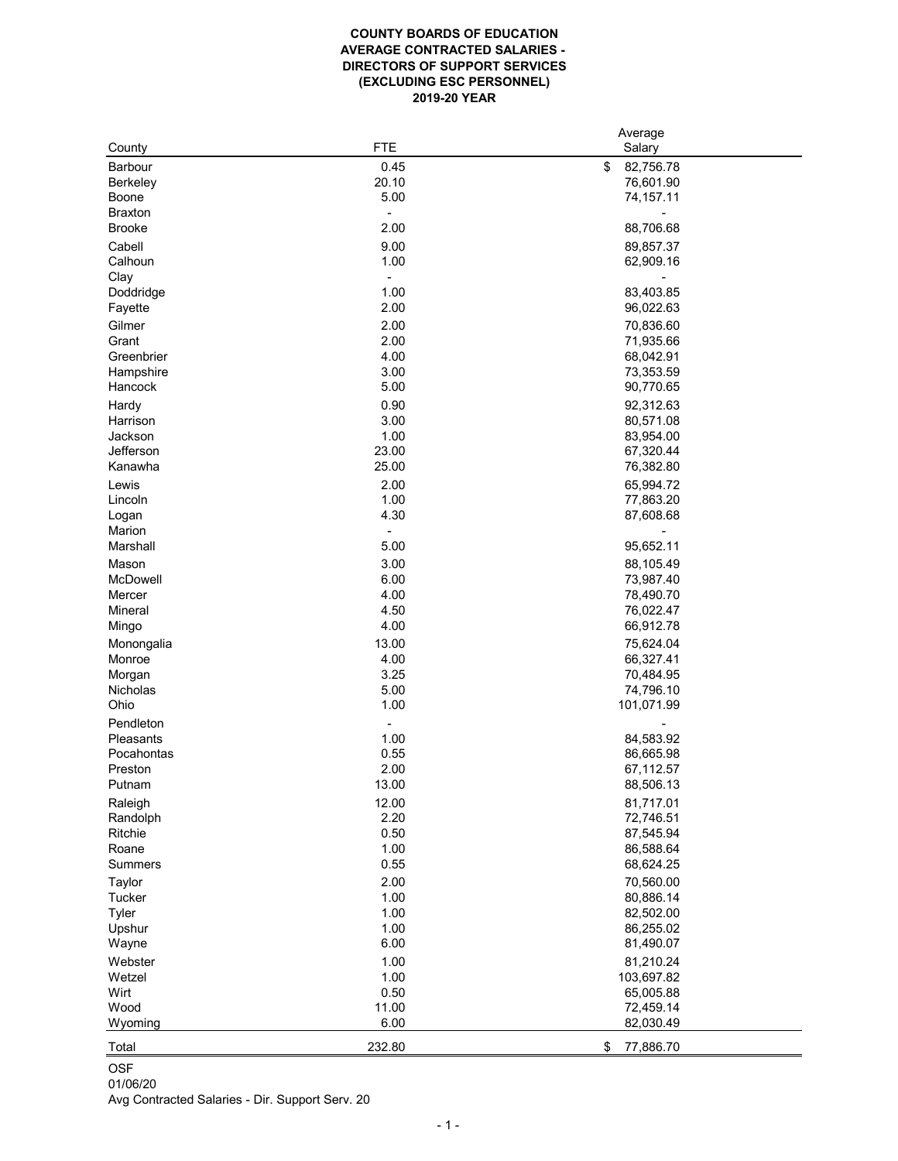## **COUNTY BOARDS OF EDUCATION AVERAGE CONTRACTED SALARIES - DIRECTORS OF SUPPORT SERVICES (EXCLUDING ESC PERSONNEL) 2019-20 YEAR**

|                 |            | Average         |
|-----------------|------------|-----------------|
| County          | <b>FTE</b> | Salary          |
| <b>Barbour</b>  | 0.45       | \$<br>82,756.78 |
| <b>Berkeley</b> | 20.10      | 76,601.90       |
| <b>Boone</b>    | 5.00       | 74,157.11       |
| <b>Braxton</b>  |            |                 |
| <b>Brooke</b>   | 2.00       | 88,706.68       |
|                 |            |                 |
| Cabell          | 9.00       | 89,857.37       |
| Calhoun         | 1.00       | 62,909.16       |
| Clay            |            |                 |
| Doddridge       | 1.00       | 83,403.85       |
| Fayette         | 2.00       | 96,022.63       |
| Gilmer          | 2.00       | 70,836.60       |
| Grant           | 2.00       | 71,935.66       |
| Greenbrier      | 4.00       | 68,042.91       |
| Hampshire       | 3.00       | 73,353.59       |
| Hancock         | 5.00       | 90,770.65       |
|                 | 0.90       | 92,312.63       |
| Hardy           |            |                 |
| Harrison        | 3.00       | 80,571.08       |
| Jackson         | 1.00       | 83,954.00       |
| Jefferson       | 23.00      | 67,320.44       |
| Kanawha         | 25.00      | 76,382.80       |
| Lewis           | 2.00       | 65,994.72       |
| Lincoln         | 1.00       | 77,863.20       |
| Logan           | 4.30       | 87,608.68       |
| Marion          |            |                 |
| Marshall        | 5.00       | 95,652.11       |
| Mason           | 3.00       | 88,105.49       |
| <b>McDowell</b> | 6.00       | 73,987.40       |
|                 |            |                 |
| Mercer          | 4.00       | 78,490.70       |
| Mineral         | 4.50       | 76,022.47       |
| Mingo           | 4.00       | 66,912.78       |
| Monongalia      | 13.00      | 75,624.04       |
| Monroe          | 4.00       | 66,327.41       |
| Morgan          | 3.25       | 70,484.95       |
| <b>Nicholas</b> | 5.00       | 74,796.10       |
| Ohio            | 1.00       | 101,071.99      |
| Pendleton       |            |                 |
| Pleasants       | 1.00       | 84,583.92       |
| Pocahontas      | 0.55       | 86,665.98       |
| Preston         | 2.00       | 67,112.57       |
| Putnam          | 13.00      | 88,506.13       |
|                 |            |                 |
| Raleigh         | 12.00      | 81,717.01       |
| Randolph        | 2.20       | 72,746.51       |
| Ritchie         | 0.50       | 87,545.94       |
| Roane           | 1.00       | 86,588.64       |
| <b>Summers</b>  | 0.55       | 68,624.25       |
| Taylor          | 2.00       | 70,560.00       |
| <b>Tucker</b>   | 1.00       | 80,886.14       |
| <b>Tyler</b>    | 1.00       | 82,502.00       |
| Upshur          | 1.00       | 86,255.02       |
|                 | 6.00       | 81,490.07       |
| Wayne           |            |                 |
| Webster         | 1.00       | 81,210.24       |
| Wetzel          | 1.00       | 103,697.82      |
| Wirt            | 0.50       | 65,005.88       |
| Wood            | 11.00      | 72,459.14       |
| Wyoming         | 6.00       | 82,030.49       |
|                 |            |                 |
| Total           | 232.80     | \$<br>77,886.70 |

OSF

01/06/20 Avg Contracted Salaries - Dir. Support Serv. 20